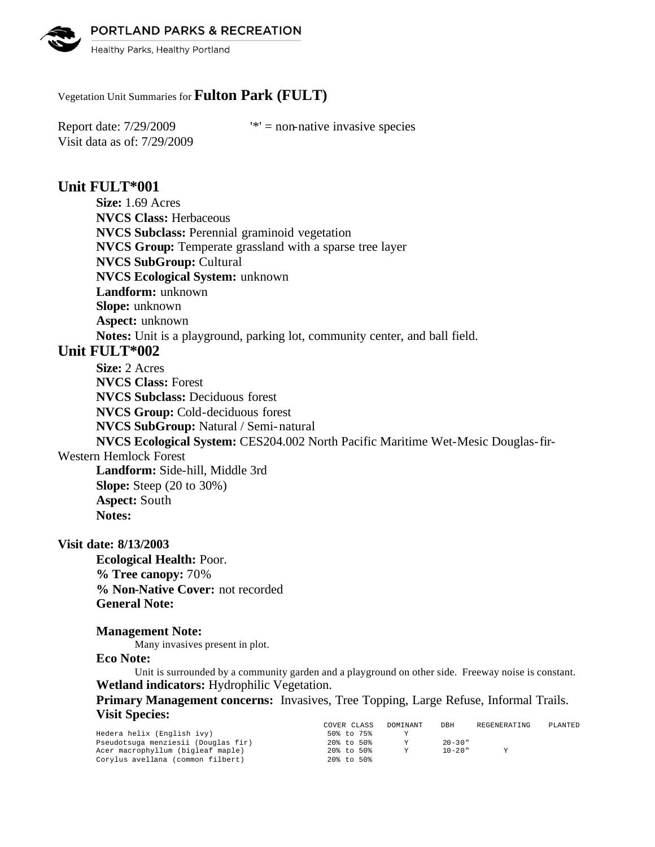PORTLAND PARKS & RECREATION



Healthy Parks, Healthy Portland

## Vegetation Unit Summaries for **Fulton Park (FULT)**

Visit data as of: 7/29/2009

Report date:  $7/29/2009$  '\*' = non-native invasive species

# **Unit FULT\*001**

**Size:** 1.69 Acres **NVCS Class:** Herbaceous **NVCS Subclass:** Perennial graminoid vegetation **NVCS Group:** Temperate grassland with a sparse tree layer **NVCS SubGroup:** Cultural **NVCS Ecological System:** unknown **Landform:** unknown **Slope:** unknown **Aspect:** unknown **Notes:** Unit is a playground, parking lot, community center, and ball field.

# **Unit FULT\*002**

**Size:** 2 Acres **NVCS Class:** Forest **NVCS Subclass:** Deciduous forest **NVCS Group:** Cold-deciduous forest **NVCS SubGroup:** Natural / Semi-natural **NVCS Ecological System:** CES204.002 North Pacific Maritime Wet-Mesic Douglas-fir-

### Western Hemlock Forest

**Landform:** Side-hill, Middle 3rd **Slope:** Steep (20 to 30%) **Aspect:** South **Notes:** 

### **Visit date: 8/13/2003**

**Ecological Health:** Poor. **% Tree canopy:** 70% **% Non-Native Cover:** not recorded **General Note:**

### **Management Note:**

Many invasives present in plot.

#### **Eco Note:**

Unit is surrounded by a community garden and a playground on other side. Freeway noise is constant. **Wetland indicators:** Hydrophilic Vegetation.

**Primary Management concerns:** Invasives, Tree Topping, Large Refuse, Informal Trails. **Visit Species:** 

|                                     | COVER CLASS | DOMINANT | DBH         | REGENERATING | PLANTED |
|-------------------------------------|-------------|----------|-------------|--------------|---------|
| Hedera helix (English ivy)          | 50% to 75%  |          |             |              |         |
| Pseudotsuga menziesii (Douglas fir) | 20% to 50%  |          | $20 - 30$ " |              |         |
| Acer macrophyllum (bigleaf maple)   | 20% to 50%  | v        | $10 - 20$ " |              |         |
| Corvlus avellana (common filbert)   | 20% to 50%  |          |             |              |         |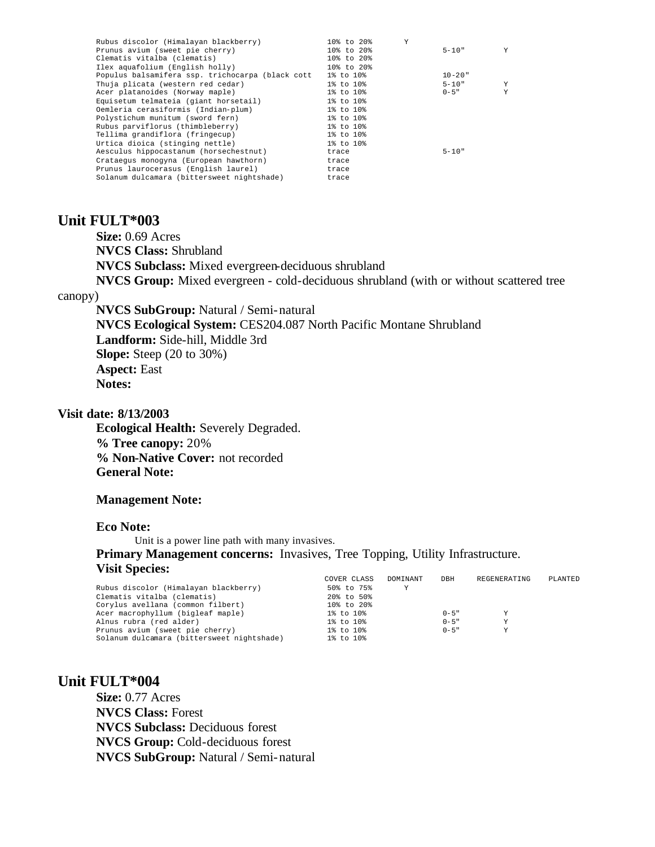| Rubus discolor (Himalayan blackberry)            | Y<br>10% to 20%  |             |   |
|--------------------------------------------------|------------------|-------------|---|
| Prunus avium (sweet pie cherry)                  | $10\%$ to $20\%$ | $5 - 10"$   | Y |
| Clematis vitalba (clematis)                      | 10% to 20%       |             |   |
| Ilex aquafolium (English holly)                  | $108$ to $208$   |             |   |
| Populus balsamifera ssp. trichocarpa (black cott | 1% to 10%        | $10 - 20$ " |   |
| Thuja plicata (western red cedar)                | 1% to 10%        | $5 - 10"$   | Y |
| Acer platanoides (Norway maple)                  | 1% to 10%        | $0 - 5$ "   | Y |
| Equisetum telmateia (giant horsetail)            | 1% to 10%        |             |   |
| Oemleria cerasiformis (Indian-plum)              | 1% to 10%        |             |   |
| Polystichum munitum (sword fern)                 | 1% to 10%        |             |   |
| Rubus parviflorus (thimbleberry)                 | 1% to 10%        |             |   |
| Tellima grandiflora (fringecup)                  | 1% to 10%        |             |   |
| Urtica dioica (stinging nettle)                  | 1% to 10%        |             |   |
| Aesculus hippocastanum (horsechestnut)           | trace            | $5 - 10"$   |   |
| Crataequs monoqyna (European hawthorn)           | trace            |             |   |
| Prunus laurocerasus (English laurel)             | trace            |             |   |
| Solanum dulcamara (bittersweet nightshade)       | trace            |             |   |
|                                                  |                  |             |   |

## **Unit FULT\*003**

**Size:** 0.69 Acres **NVCS Class:** Shrubland **NVCS Subclass:** Mixed evergreen-deciduous shrubland **NVCS Group:** Mixed evergreen - cold-deciduous shrubland (with or without scattered tree

#### canopy)

**NVCS SubGroup:** Natural / Semi-natural **NVCS Ecological System:** CES204.087 North Pacific Montane Shrubland **Landform:** Side-hill, Middle 3rd **Slope:** Steep (20 to 30%) **Aspect:** East **Notes:** 

#### **Visit date: 8/13/2003**

**Ecological Health:** Severely Degraded. **% Tree canopy:** 20% **% Non-Native Cover:** not recorded **General Note:**

#### **Management Note:**

### **Eco Note:**

Unit is a power line path with many invasives.

**Primary Management concerns:** Invasives, Tree Topping, Utility Infrastructure. **Visit Species:** 

|                                            | COVER CLASS | DOMINANT | DBH       | REGENERATING | PLANTED |
|--------------------------------------------|-------------|----------|-----------|--------------|---------|
| Rubus discolor (Himalayan blackberry)      | 50% to 75%  | Υ        |           |              |         |
| Clematis vitalba (clematis)                | 20% to 50%  |          |           |              |         |
| Corylus avellana (common filbert)          | 10% to 20%  |          |           |              |         |
| Acer macrophyllum (bigleaf maple)          | 1% to 10%   |          | $0 - 5$ " | Υ            |         |
| Alnus rubra (red alder)                    | 1% to 10%   |          | $0 - 5$ " | Υ            |         |
| Prunus avium (sweet pie cherry)            | 1% to 10%   |          | $0 - 5$ " | v            |         |
| Solanum dulcamara (bittersweet nightshade) | 1% to 10%   |          |           |              |         |

### **Unit FULT\*004**

**Size:** 0.77 Acres **NVCS Class:** Forest **NVCS Subclass:** Deciduous forest **NVCS Group:** Cold-deciduous forest **NVCS SubGroup:** Natural / Semi-natural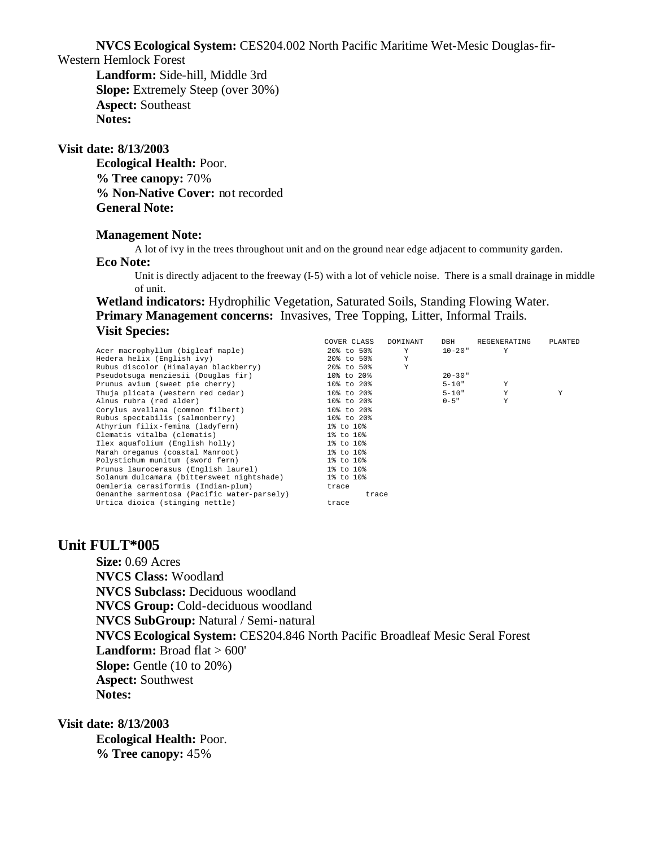**NVCS Ecological System:** CES204.002 North Pacific Maritime Wet-Mesic Douglas-fir-

Western Hemlock Forest

**Landform:** Side-hill, Middle 3rd **Slope:** Extremely Steep (over 30%) **Aspect:** Southeast **Notes:** 

#### **Visit date: 8/13/2003**

**Ecological Health:** Poor. **% Tree canopy:** 70% **% Non-Native Cover:** not recorded **General Note:**

### **Management Note:**

A lot of ivy in the trees throughout unit and on the ground near edge adjacent to community garden.

#### **Eco Note:**

Unit is directly adjacent to the freeway (I-5) with a lot of vehicle noise. There is a small drainage in middle of unit.

**Wetland indicators:** Hydrophilic Vegetation, Saturated Soils, Standing Flowing Water. **Primary Management concerns:** Invasives, Tree Topping, Litter, Informal Trails. **Visit Species:** 

|                                             | COVER CLASS | DOMINANT | DBH         | REGENERATING | PLANTED |
|---------------------------------------------|-------------|----------|-------------|--------------|---------|
| Acer macrophyllum (bigleaf maple)           | 20% to 50%  | Y        | 10-20"      | Y            |         |
| Hedera helix (English ivy)                  | 20% to 50%  | Y        |             |              |         |
| Rubus discolor (Himalayan blackberry)       | 20% to 50%  | Y        |             |              |         |
| Pseudotsuga menziesii (Douglas fir)         | 10% to 20%  |          | $20 - 30$ " |              |         |
| Prunus avium (sweet pie cherry)             | 10% to 20%  |          | $5 - 10"$   | Y            |         |
| Thuja plicata (western red cedar)           | 10% to 20%  |          | $5 - 10"$   | Y            | Y       |
| Alnus rubra (red alder)                     | 10% to 20%  |          | $0 - 5$ "   | Υ            |         |
| Corylus avellana (common filbert)           | 10% to 20%  |          |             |              |         |
| Rubus spectabilis (salmonberry)             | 10% to 20%  |          |             |              |         |
| Athyrium filix-femina (ladyfern)            | 1% to 10%   |          |             |              |         |
| Clematis vitalba (clematis)                 | 1% to 10%   |          |             |              |         |
| Ilex aquafolium (English holly)             | 1% to 10%   |          |             |              |         |
| Marah oreganus (coastal Manroot)            | 1% to 10%   |          |             |              |         |
| Polystichum munitum (sword fern)            | 1% to 10%   |          |             |              |         |
| Prunus laurocerasus (English laurel)        | 1% to 10%   |          |             |              |         |
| Solanum dulcamara (bittersweet nightshade)  | 1% to 10%   |          |             |              |         |
| Oemleria cerasiformis (Indian-plum)         | trace       |          |             |              |         |
| Oenanthe sarmentosa (Pacific water-parsely) | trace       |          |             |              |         |
| Urtica dioica (stinging nettle)             | trace       |          |             |              |         |

# **Unit FULT\*005**

**Size:** 0.69 Acres **NVCS Class:** Woodland **NVCS Subclass:** Deciduous woodland **NVCS Group:** Cold-deciduous woodland **NVCS SubGroup:** Natural / Semi-natural **NVCS Ecological System:** CES204.846 North Pacific Broadleaf Mesic Seral Forest Landform: Broad flat > 600' **Slope:** Gentle (10 to 20%) **Aspect:** Southwest **Notes:** 

**Visit date: 8/13/2003 Ecological Health:** Poor. **% Tree canopy:** 45%